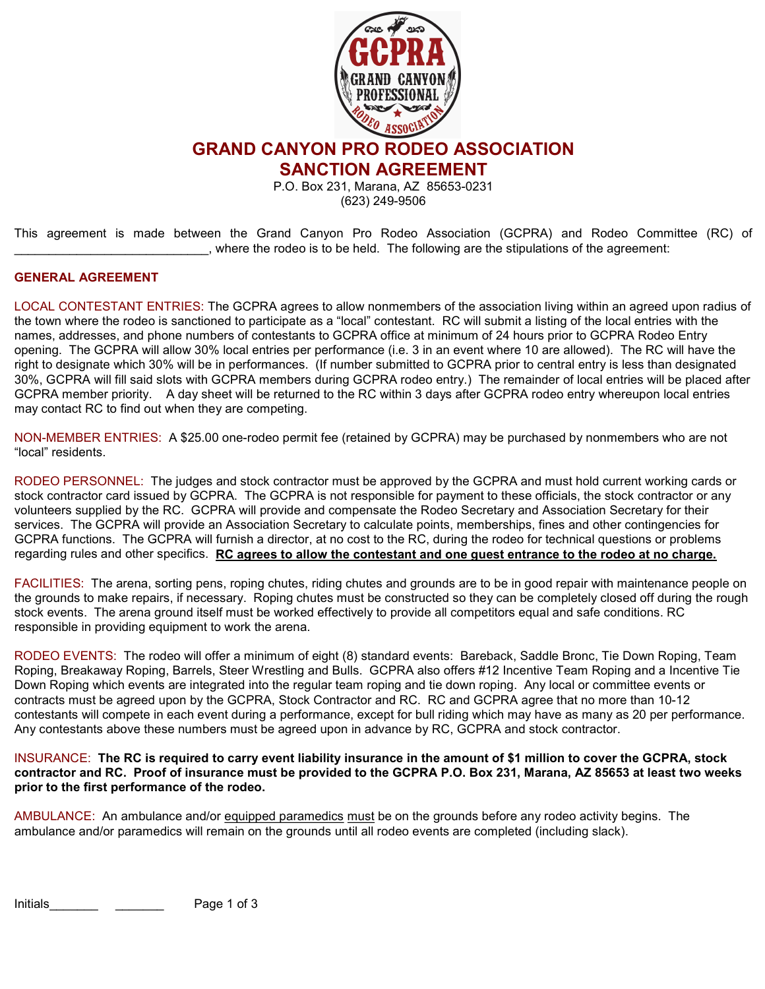

GRAND CANYON PRO RODEO ASSOCIATION

SANCTION AGREEMENT

P.O. Box 231, Marana, AZ 85653-0231 (623) 249-9506

This agreement is made between the Grand Canyon Pro Rodeo Association (GCPRA) and Rodeo Committee (RC) of \_\_\_\_\_\_\_\_\_\_\_\_\_\_\_\_\_\_\_\_\_\_\_\_\_\_\_\_, where the rodeo is to be held. The following are the stipulations of the agreement:

## GENERAL AGREEMENT

LOCAL CONTESTANT ENTRIES: The GCPRA agrees to allow nonmembers of the association living within an agreed upon radius of the town where the rodeo is sanctioned to participate as a "local" contestant. RC will submit a listing of the local entries with the names, addresses, and phone numbers of contestants to GCPRA office at minimum of 24 hours prior to GCPRA Rodeo Entry opening. The GCPRA will allow 30% local entries per performance (i.e. 3 in an event where 10 are allowed). The RC will have the right to designate which 30% will be in performances. (If number submitted to GCPRA prior to central entry is less than designated 30%, GCPRA will fill said slots with GCPRA members during GCPRA rodeo entry.) The remainder of local entries will be placed after GCPRA member priority. A day sheet will be returned to the RC within 3 days after GCPRA rodeo entry whereupon local entries may contact RC to find out when they are competing.

NON-MEMBER ENTRIES: A \$25.00 one-rodeo permit fee (retained by GCPRA) may be purchased by nonmembers who are not "local" residents.

RODEO PERSONNEL: The judges and stock contractor must be approved by the GCPRA and must hold current working cards or stock contractor card issued by GCPRA. The GCPRA is not responsible for payment to these officials, the stock contractor or any volunteers supplied by the RC. GCPRA will provide and compensate the Rodeo Secretary and Association Secretary for their services. The GCPRA will provide an Association Secretary to calculate points, memberships, fines and other contingencies for GCPRA functions. The GCPRA will furnish a director, at no cost to the RC, during the rodeo for technical questions or problems regarding rules and other specifics. RC agrees to allow the contestant and one quest entrance to the rodeo at no charge.

FACILITIES: The arena, sorting pens, roping chutes, riding chutes and grounds are to be in good repair with maintenance people on the grounds to make repairs, if necessary. Roping chutes must be constructed so they can be completely closed off during the rough stock events. The arena ground itself must be worked effectively to provide all competitors equal and safe conditions. RC responsible in providing equipment to work the arena.

RODEO EVENTS: The rodeo will offer a minimum of eight (8) standard events: Bareback, Saddle Bronc, Tie Down Roping, Team Roping, Breakaway Roping, Barrels, Steer Wrestling and Bulls. GCPRA also offers #12 Incentive Team Roping and a Incentive Tie Down Roping which events are integrated into the regular team roping and tie down roping. Any local or committee events or contracts must be agreed upon by the GCPRA, Stock Contractor and RC. RC and GCPRA agree that no more than 10-12 contestants will compete in each event during a performance, except for bull riding which may have as many as 20 per performance. Any contestants above these numbers must be agreed upon in advance by RC, GCPRA and stock contractor.

INSURANCE: The RC is required to carry event liability insurance in the amount of \$1 million to cover the GCPRA, stock contractor and RC. Proof of insurance must be provided to the GCPRA P.O. Box 231, Marana, AZ 85653 at least two weeks prior to the first performance of the rodeo.

AMBULANCE: An ambulance and/or equipped paramedics must be on the grounds before any rodeo activity begins. The ambulance and/or paramedics will remain on the grounds until all rodeo events are completed (including slack).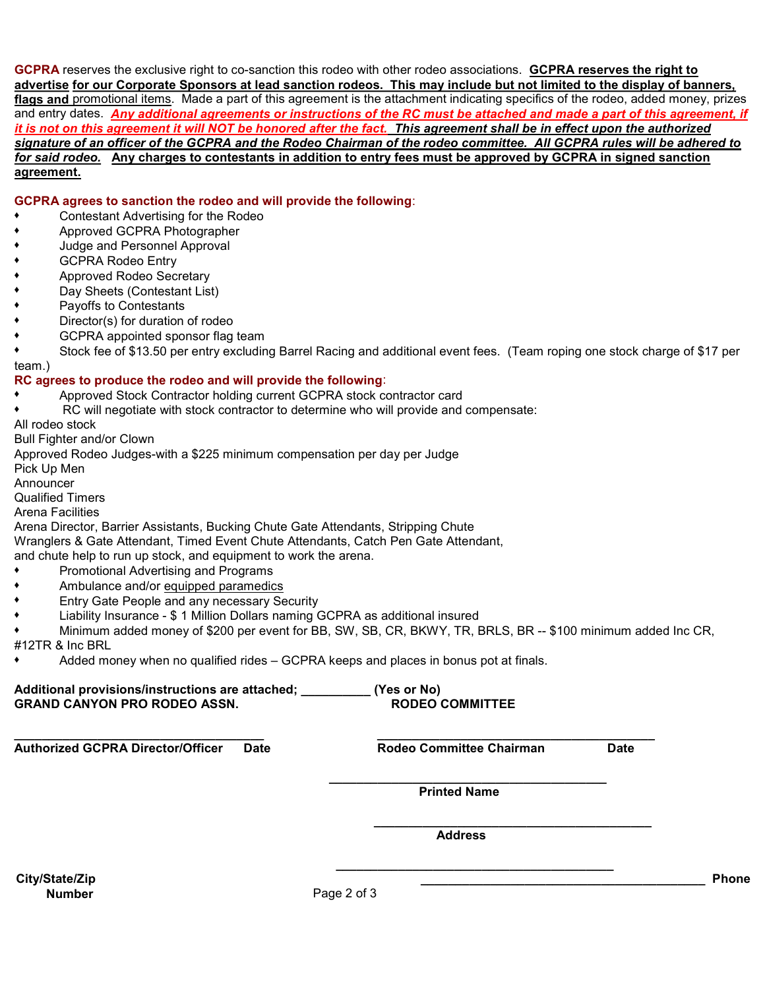GCPRA reserves the exclusive right to co-sanction this rodeo with other rodeo associations. GCPRA reserves the right to advertise for our Corporate Sponsors at lead sanction rodeos. This may include but not limited to the display of banners, flags and promotional items. Made a part of this agreement is the attachment indicating specifics of the rodeo, added money, prizes and entry dates. Any additional agreements or instructions of the RC must be attached and made a part of this agreement, if it is not on this agreement it will NOT be honored after the fact. This agreement shall be in effect upon the authorized signature of an officer of the GCPRA and the Rodeo Chairman of the rodeo committee. All GCPRA rules will be adhered to for said rodeo. Any charges to contestants in addition to entry fees must be approved by GCPRA in signed sanction agreement.

GCPRA agrees to sanction the rodeo and will provide the following:

- Contestant Advertising for the Rodeo
- Approved GCPRA Photographer
- Judge and Personnel Approval
- **GCPRA Rodeo Entry**
- Approved Rodeo Secretary
- Day Sheets (Contestant List)
- Payoffs to Contestants
- Director(s) for duration of rodeo
- GCPRA appointed sponsor flag team
- Stock fee of \$13.50 per entry excluding Barrel Racing and additional event fees. (Team roping one stock charge of \$17 per team.)

## RC agrees to produce the rodeo and will provide the following:

- ♦ Approved Stock Contractor holding current GCPRA stock contractor card
- RC will negotiate with stock contractor to determine who will provide and compensate:
- All rodeo stock

Bull Fighter and/or Clown

Approved Rodeo Judges-with a \$225 minimum compensation per day per Judge

Pick Up Men

Announcer

Qualified Timers

Arena Facilities

Arena Director, Barrier Assistants, Bucking Chute Gate Attendants, Stripping Chute

Wranglers & Gate Attendant, Timed Event Chute Attendants, Catch Pen Gate Attendant,

and chute help to run up stock, and equipment to work the arena.

- Promotional Advertising and Programs
- Ambulance and/or equipped paramedics
- Entry Gate People and any necessary Security
- Liability Insurance \$ 1 Million Dollars naming GCPRA as additional insured
- Minimum added money of \$200 per event for BB, SW, SB, CR, BKWY, TR, BRLS, BR -- \$100 minimum added Inc CR, #12TR & Inc BRL
- Added money when no qualified rides GCPRA keeps and places in bonus pot at finals.

| Additional provisions/instructions are attached; | (Yes or No)            |
|--------------------------------------------------|------------------------|
| <b>GRAND CANYON PRO RODEO ASSN.</b>              | <b>RODEO COMMITTEE</b> |

 $\_$  , and the set of the set of the set of the set of the set of the set of the set of the set of the set of the set of the set of the set of the set of the set of the set of the set of the set of the set of the set of th Authorized GCPRA Director/Officer Date **Rodeo Committee Chairman** Date

 $\_$ Printed Name

 $\_$ Address

 $\_$ City/State/Zip \_\_\_\_\_\_\_\_\_\_\_\_\_\_\_\_\_\_\_\_\_\_\_\_\_\_\_\_\_\_\_\_\_\_\_\_\_\_\_\_\_ Phone

Number Page 2 of 3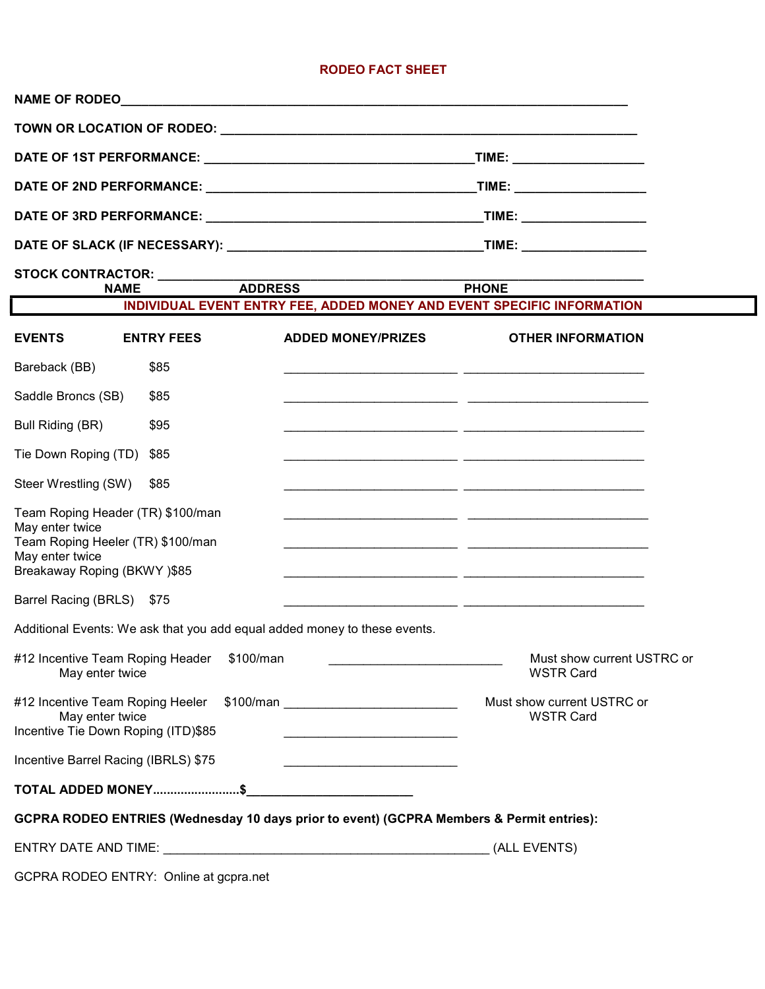## RODEO FACT SHEET

| STOCK CONTRACTOR: __________<br>ADDRESS                                                                                                     |                                                                                                                              |  |  |  |
|---------------------------------------------------------------------------------------------------------------------------------------------|------------------------------------------------------------------------------------------------------------------------------|--|--|--|
| <b>NAME</b>                                                                                                                                 | <b>PHONE</b><br>INDIVIDUAL EVENT ENTRY FEE, ADDED MONEY AND EVENT SPECIFIC INFORMATION                                       |  |  |  |
| <b>EVENTS</b><br><b>ENTRY FEES</b>                                                                                                          | <b>ADDED MONEY/PRIZES</b><br><b>OTHER INFORMATION</b>                                                                        |  |  |  |
| Bareback (BB)<br>\$85                                                                                                                       |                                                                                                                              |  |  |  |
| Saddle Broncs (SB)<br>\$85                                                                                                                  |                                                                                                                              |  |  |  |
| Bull Riding (BR)<br>\$95                                                                                                                    |                                                                                                                              |  |  |  |
| Tie Down Roping (TD)<br>\$85                                                                                                                |                                                                                                                              |  |  |  |
| Steer Wrestling (SW)<br>\$85                                                                                                                |                                                                                                                              |  |  |  |
| Team Roping Header (TR) \$100/man<br>May enter twice<br>Team Roping Heeler (TR) \$100/man<br>May enter twice<br>Breakaway Roping (BKWY)\$85 |                                                                                                                              |  |  |  |
| Barrel Racing (BRLS) \$75                                                                                                                   |                                                                                                                              |  |  |  |
| Additional Events: We ask that you add equal added money to these events.                                                                   |                                                                                                                              |  |  |  |
| #12 Incentive Team Roping Header \$100/man<br>May enter twice                                                                               | Must show current USTRC or<br><b>WSTR Card</b>                                                                               |  |  |  |
| May enter twice<br>Incentive Tie Down Roping (ITD)\$85                                                                                      | Must show current USTRC or<br><b>WSTR Card</b><br>the control of the control of the control of the control of the control of |  |  |  |
| Incentive Barrel Racing (IBRLS) \$75                                                                                                        | <u> 1990 - Johann Barbara, martxa alemaniar a</u>                                                                            |  |  |  |
|                                                                                                                                             |                                                                                                                              |  |  |  |
| GCPRA RODEO ENTRIES (Wednesday 10 days prior to event) (GCPRA Members & Permit entries):                                                    |                                                                                                                              |  |  |  |
|                                                                                                                                             | (ALL EVENTS)                                                                                                                 |  |  |  |
| GCPRA RODEO ENTRY: Online at gcpra.net                                                                                                      |                                                                                                                              |  |  |  |